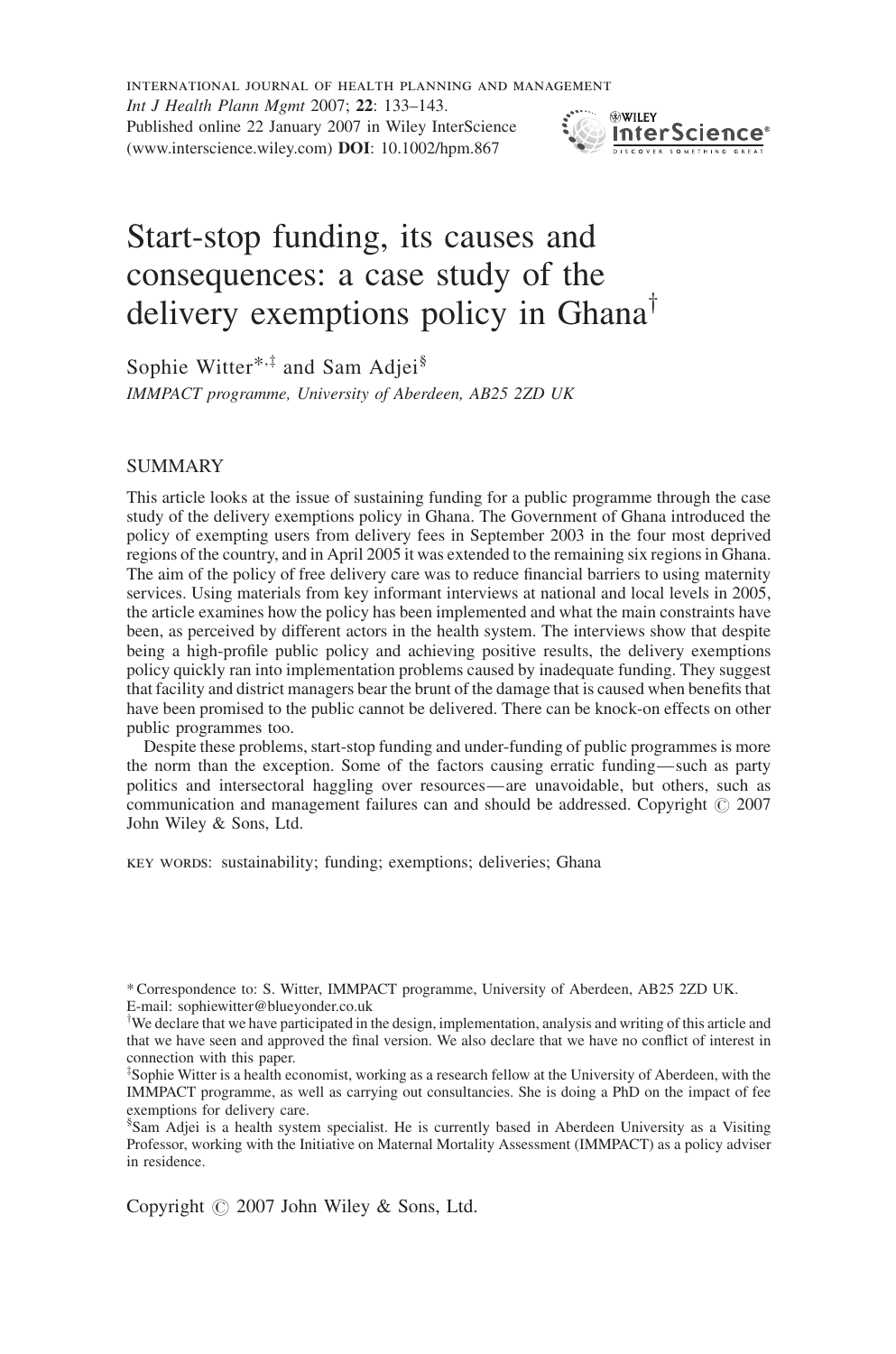international journal of health planning and management Int J Health Plann Mgmt 2007; 22: 133–143. Published online 22 January 2007 in Wiley InterScience (www.interscience.wiley.com) DOI: 10.1002/hpm.867



# Start-stop funding, its causes and consequences: a case study of the delivery exemptions policy in Ghana<sup>†</sup>

Sophie Witter\*, $\frac{1}{4}$  and Sam Adjei<sup>§</sup> IMMPACT programme, University of Aberdeen, AB25 2ZD UK

## **SUMMARY**

This article looks at the issue of sustaining funding for a public programme through the case study of the delivery exemptions policy in Ghana. The Government of Ghana introduced the policy of exempting users from delivery fees in September 2003 in the four most deprived regions of the country, and in April 2005 it was extended to the remaining six regions in Ghana. The aim of the policy of free delivery care was to reduce financial barriers to using maternity services. Using materials from key informant interviews at national and local levels in 2005, the article examines how the policy has been implemented and what the main constraints have been, as perceived by different actors in the health system. The interviews show that despite being a high-profile public policy and achieving positive results, the delivery exemptions policy quickly ran into implementation problems caused by inadequate funding. They suggest that facility and district managers bear the brunt of the damage that is caused when benefits that have been promised to the public cannot be delivered. There can be knock-on effects on other public programmes too.

Despite these problems, start-stop funding and under-funding of public programmes is more the norm than the exception. Some of the factors causing erratic funding—such as party politics and intersectoral haggling over resources—are unavoidable, but others, such as communication and management failures can and should be addressed. Copyright  $\odot$  2007 John Wiley & Sons, Ltd.

key words: sustainability; funding; exemptions; deliveries; Ghana

\* Correspondence to: S. Witter, IMMPACT programme, University of Aberdeen, AB25 2ZD UK. E-mail: sophiewitter@blueyonder.co.uk

We declare that we have participated in the design, implementation, analysis and writing of this article and that we have seen and approved the final version. We also declare that we have no conflict of interest in connection with this paper.

<sup>‡</sup>Sophie Witter is a health economist, working as a research fellow at the University of Aberdeen, with the IMMPACT programme, as well as carrying out consultancies. She is doing a PhD on the impact of fee exemptions for delivery care.

§ Sam Adjei is a health system specialist. He is currently based in Aberdeen University as a Visiting Professor, working with the Initiative on Maternal Mortality Assessment (IMMPACT) as a policy adviser in residence.

Copyright  $\odot$  2007 John Wiley & Sons, Ltd.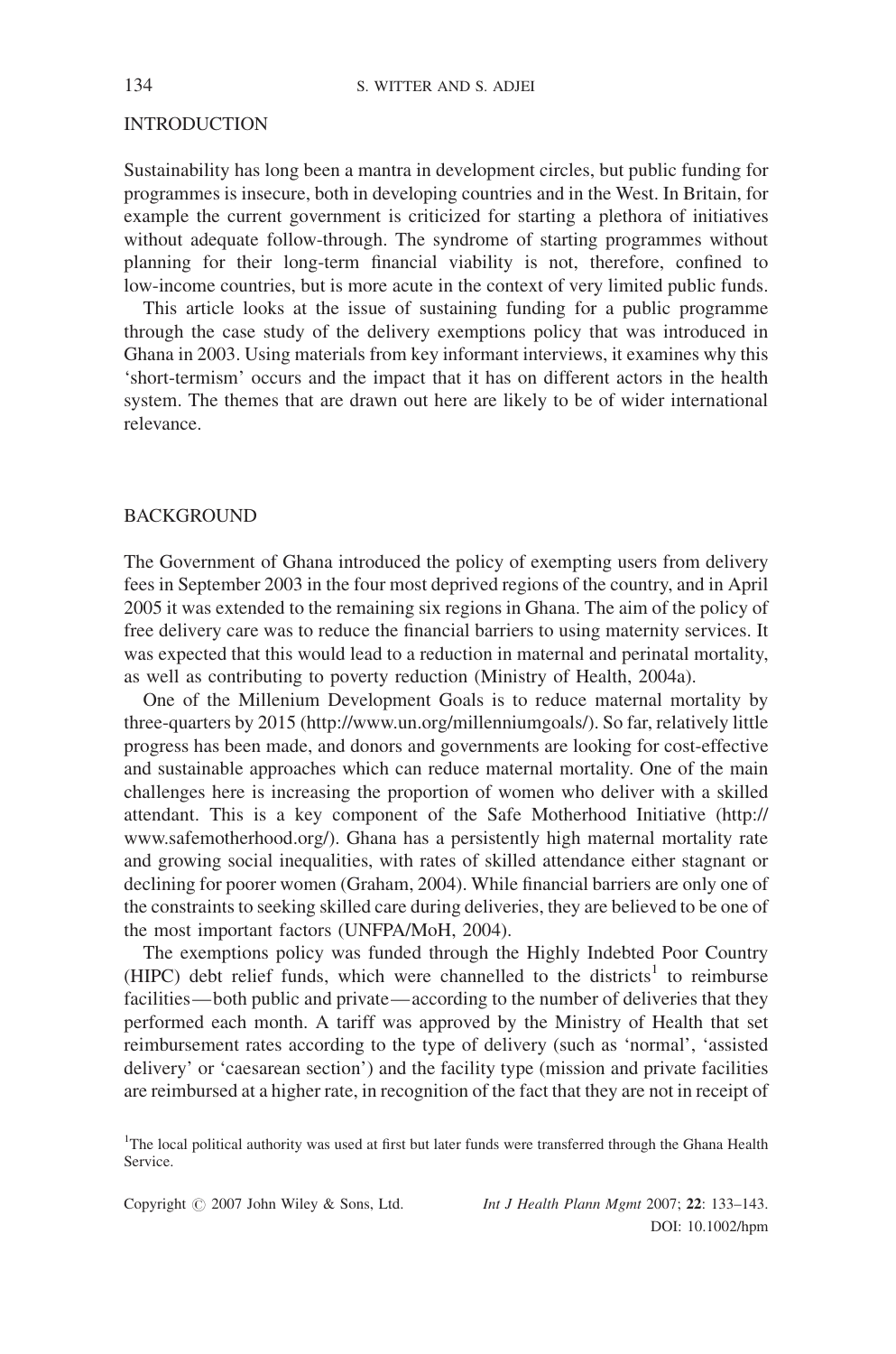#### **INTRODUCTION**

Sustainability has long been a mantra in development circles, but public funding for programmes is insecure, both in developing countries and in the West. In Britain, for example the current government is criticized for starting a plethora of initiatives without adequate follow-through. The syndrome of starting programmes without planning for their long-term financial viability is not, therefore, confined to low-income countries, but is more acute in the context of very limited public funds.

This article looks at the issue of sustaining funding for a public programme through the case study of the delivery exemptions policy that was introduced in Ghana in 2003. Using materials from key informant interviews, it examines why this 'short-termism' occurs and the impact that it has on different actors in the health system. The themes that are drawn out here are likely to be of wider international relevance.

### BACKGROUND

The Government of Ghana introduced the policy of exempting users from delivery fees in September 2003 in the four most deprived regions of the country, and in April 2005 it was extended to the remaining six regions in Ghana. The aim of the policy of free delivery care was to reduce the financial barriers to using maternity services. It was expected that this would lead to a reduction in maternal and perinatal mortality, as well as contributing to poverty reduction (Ministry of Health, 2004a).

One of the Millenium Development Goals is to reduce maternal mortality by three-quarters by 2015 (http://www.un.org/millenniumgoals/). So far, relatively little progress has been made, and donors and governments are looking for cost-effective and sustainable approaches which can reduce maternal mortality. One of the main challenges here is increasing the proportion of women who deliver with a skilled attendant. This is a key component of the Safe Motherhood Initiative (http:// www.safemotherhood.org/). Ghana has a persistently high maternal mortality rate and growing social inequalities, with rates of skilled attendance either stagnant or declining for poorer women (Graham, 2004). While financial barriers are only one of the constraints to seeking skilled care during deliveries, they are believed to be one of the most important factors (UNFPA/MoH, 2004).

The exemptions policy was funded through the Highly Indebted Poor Country (HIPC) debt relief funds, which were channelled to the districts<sup>1</sup> to reimburse facilities—both public and private—according to the number of deliveries that they performed each month. A tariff was approved by the Ministry of Health that set reimbursement rates according to the type of delivery (such as 'normal', 'assisted delivery' or 'caesarean section') and the facility type (mission and private facilities are reimbursed at a higher rate, in recognition of the fact that they are not in receipt of

<sup>1</sup>The local political authority was used at first but later funds were transferred through the Ghana Health Service.

Copyright  $\odot$  2007 John Wiley & Sons, Ltd. *Int J Health Plann Mgmt* 2007; 22: 133-143. DOI: 10.1002/hpm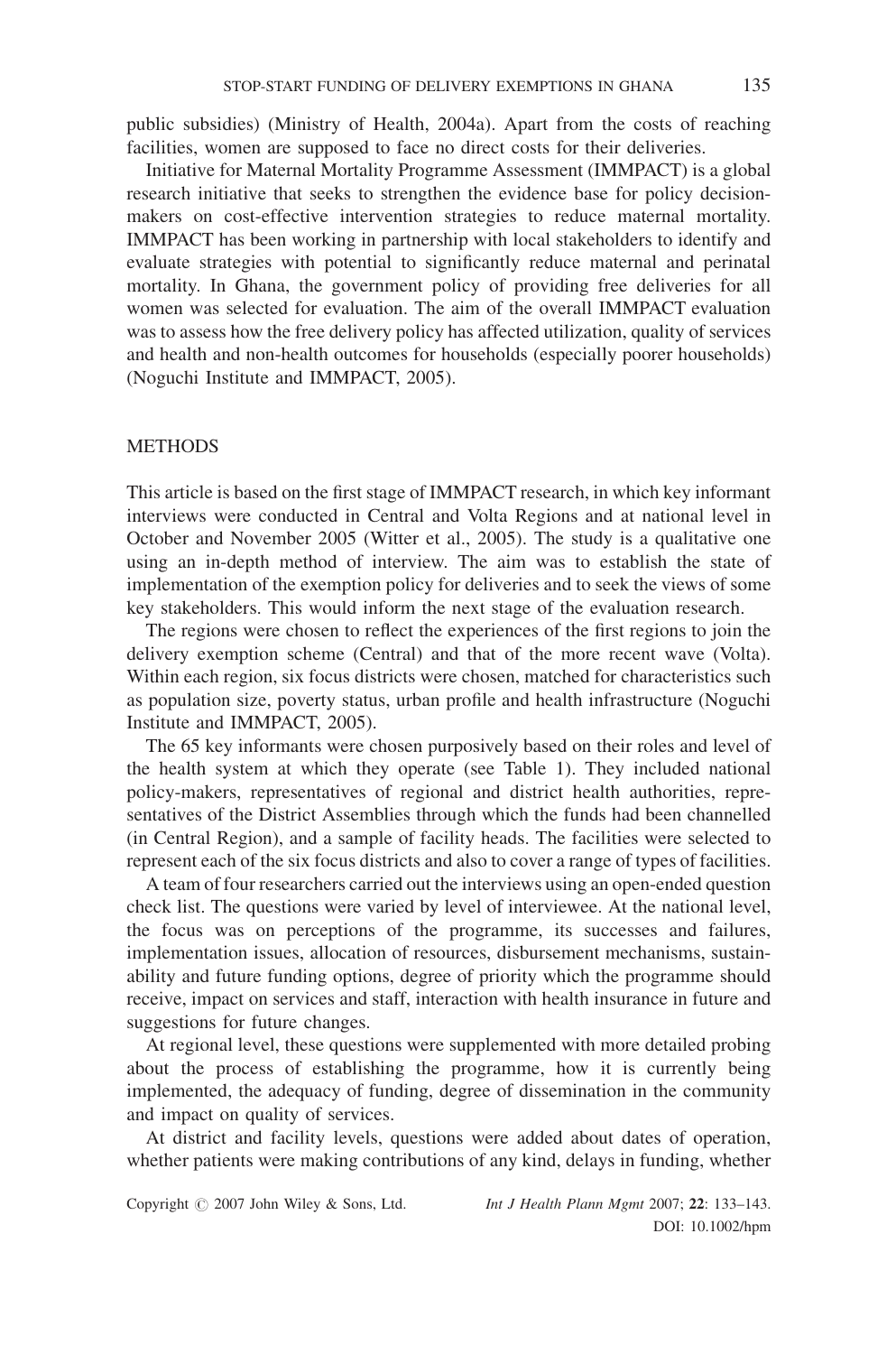public subsidies) (Ministry of Health, 2004a). Apart from the costs of reaching facilities, women are supposed to face no direct costs for their deliveries.

Initiative for Maternal Mortality Programme Assessment (IMMPACT) is a global research initiative that seeks to strengthen the evidence base for policy decisionmakers on cost-effective intervention strategies to reduce maternal mortality. IMMPACT has been working in partnership with local stakeholders to identify and evaluate strategies with potential to significantly reduce maternal and perinatal mortality. In Ghana, the government policy of providing free deliveries for all women was selected for evaluation. The aim of the overall IMMPACT evaluation was to assess how the free delivery policy has affected utilization, quality of services and health and non-health outcomes for households (especially poorer households) (Noguchi Institute and IMMPACT, 2005).

### **METHODS**

This article is based on the first stage of IMMPACT research, in which key informant interviews were conducted in Central and Volta Regions and at national level in October and November 2005 (Witter et al., 2005). The study is a qualitative one using an in-depth method of interview. The aim was to establish the state of implementation of the exemption policy for deliveries and to seek the views of some key stakeholders. This would inform the next stage of the evaluation research.

The regions were chosen to reflect the experiences of the first regions to join the delivery exemption scheme (Central) and that of the more recent wave (Volta). Within each region, six focus districts were chosen, matched for characteristics such as population size, poverty status, urban profile and health infrastructure (Noguchi Institute and IMMPACT, 2005).

The 65 key informants were chosen purposively based on their roles and level of the health system at which they operate (see Table 1). They included national policy-makers, representatives of regional and district health authorities, representatives of the District Assemblies through which the funds had been channelled (in Central Region), and a sample of facility heads. The facilities were selected to represent each of the six focus districts and also to cover a range of types of facilities.

A team of four researchers carried out the interviews using an open-ended question check list. The questions were varied by level of interviewee. At the national level, the focus was on perceptions of the programme, its successes and failures, implementation issues, allocation of resources, disbursement mechanisms, sustainability and future funding options, degree of priority which the programme should receive, impact on services and staff, interaction with health insurance in future and suggestions for future changes.

At regional level, these questions were supplemented with more detailed probing about the process of establishing the programme, how it is currently being implemented, the adequacy of funding, degree of dissemination in the community and impact on quality of services.

At district and facility levels, questions were added about dates of operation, whether patients were making contributions of any kind, delays in funding, whether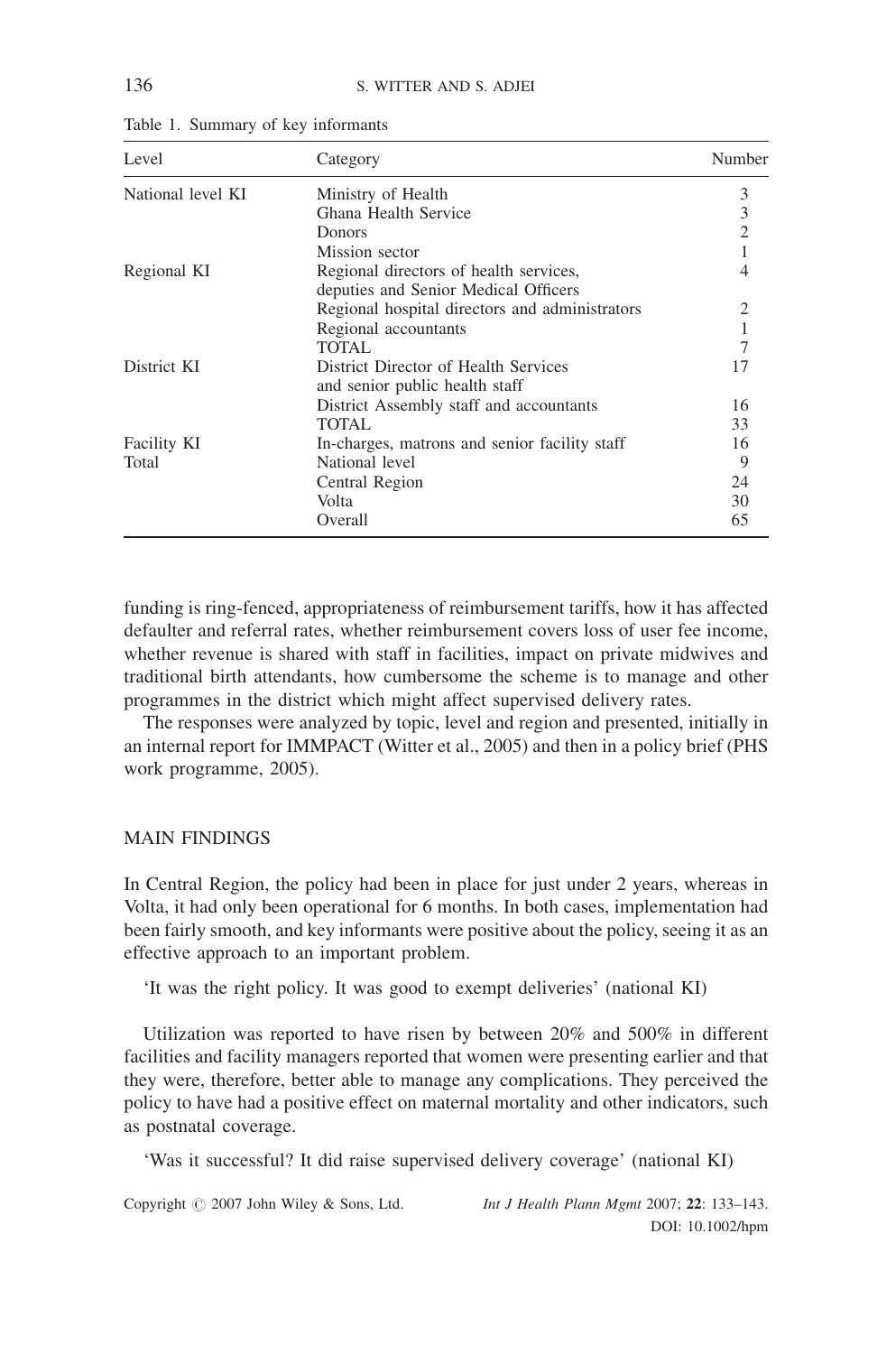| Level             | Category                                                                       | Number         |
|-------------------|--------------------------------------------------------------------------------|----------------|
| National level KI | Ministry of Health                                                             | 3              |
|                   | Ghana Health Service                                                           | 3              |
|                   | Donors                                                                         | $\overline{c}$ |
|                   | Mission sector                                                                 |                |
| Regional KI       | Regional directors of health services,<br>deputies and Senior Medical Officers | 4              |
|                   | Regional hospital directors and administrators                                 | 2              |
|                   | Regional accountants                                                           |                |
|                   | TOTAL.                                                                         |                |
| District KI       | District Director of Health Services<br>and senior public health staff         | 17             |
|                   | District Assembly staff and accountants                                        | 16             |
|                   | TOTAL.                                                                         | 33             |
| Facility KI       | In-charges, matrons and senior facility staff                                  | 16             |
| Total             | National level                                                                 | 9              |
|                   | Central Region                                                                 | 24             |
|                   | Volta                                                                          | 30             |
|                   | Overall                                                                        | 65             |

Table 1. Summary of key informants

funding is ring-fenced, appropriateness of reimbursement tariffs, how it has affected defaulter and referral rates, whether reimbursement covers loss of user fee income, whether revenue is shared with staff in facilities, impact on private midwives and traditional birth attendants, how cumbersome the scheme is to manage and other programmes in the district which might affect supervised delivery rates.

The responses were analyzed by topic, level and region and presented, initially in an internal report for IMMPACT (Witter et al., 2005) and then in a policy brief (PHS work programme, 2005).

#### MAIN FINDINGS

In Central Region, the policy had been in place for just under 2 years, whereas in Volta, it had only been operational for 6 months. In both cases, implementation had been fairly smooth, and key informants were positive about the policy, seeing it as an effective approach to an important problem.

'It was the right policy. It was good to exempt deliveries' (national KI)

Utilization was reported to have risen by between 20% and 500% in different facilities and facility managers reported that women were presenting earlier and that they were, therefore, better able to manage any complications. They perceived the policy to have had a positive effect on maternal mortality and other indicators, such as postnatal coverage.

'Was it successful? It did raise supervised delivery coverage' (national KI)

Copyright  $\odot$  2007 John Wiley & Sons, Ltd. *Int J Health Plann Mgmt* 2007; 22: 133-143. DOI: 10.1002/hpm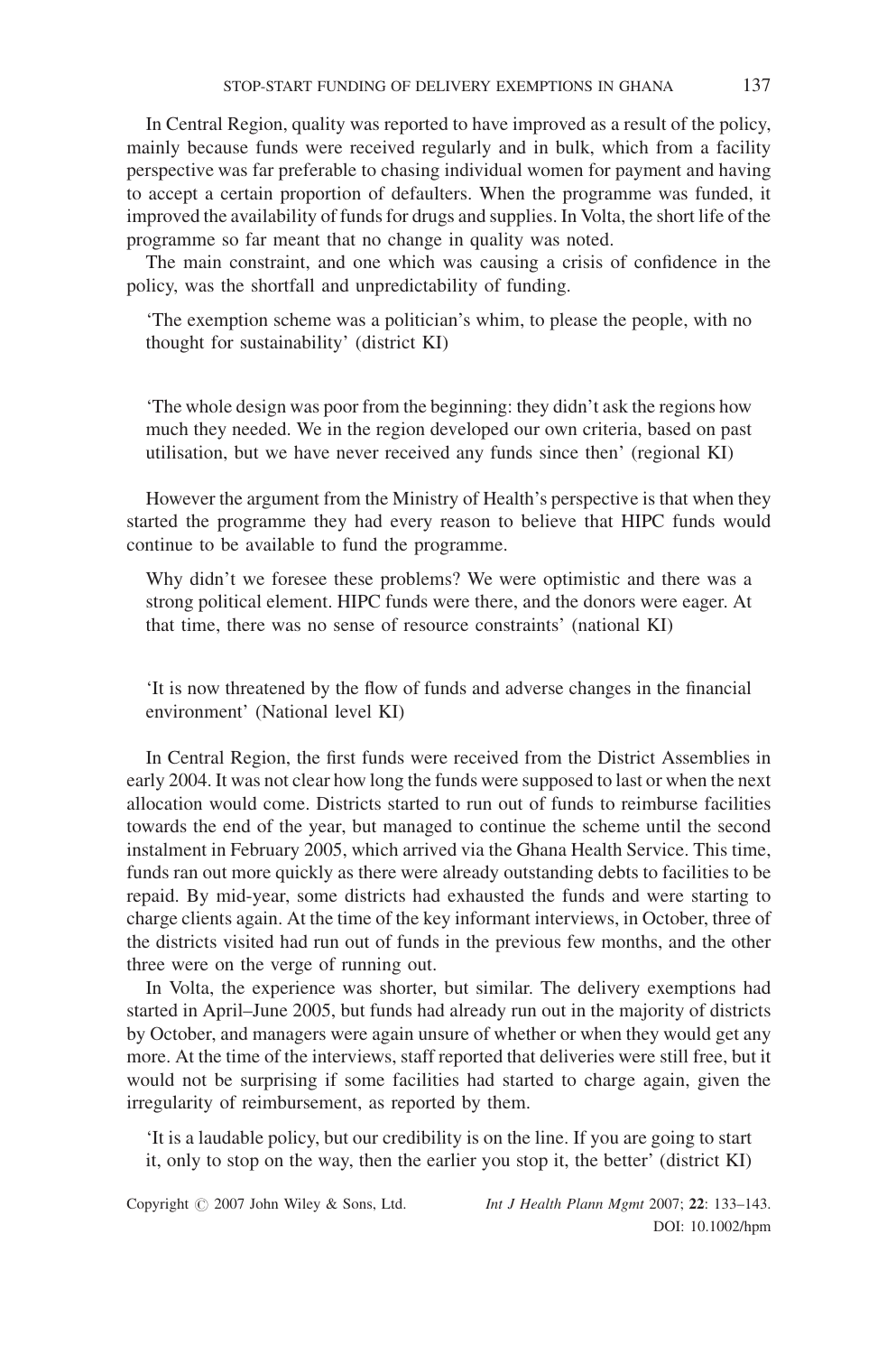In Central Region, quality was reported to have improved as a result of the policy, mainly because funds were received regularly and in bulk, which from a facility perspective was far preferable to chasing individual women for payment and having to accept a certain proportion of defaulters. When the programme was funded, it improved the availability of funds for drugs and supplies. In Volta, the short life of the programme so far meant that no change in quality was noted.

The main constraint, and one which was causing a crisis of confidence in the policy, was the shortfall and unpredictability of funding.

'The exemption scheme was a politician's whim, to please the people, with no thought for sustainability' (district KI)

'The whole design was poor from the beginning: they didn't ask the regions how much they needed. We in the region developed our own criteria, based on past utilisation, but we have never received any funds since then' (regional KI)

However the argument from the Ministry of Health's perspective is that when they started the programme they had every reason to believe that HIPC funds would continue to be available to fund the programme.

Why didn't we foresee these problems? We were optimistic and there was a strong political element. HIPC funds were there, and the donors were eager. At that time, there was no sense of resource constraints' (national KI)

'It is now threatened by the flow of funds and adverse changes in the financial environment' (National level KI)

In Central Region, the first funds were received from the District Assemblies in early 2004. It was not clear how long the funds were supposed to last or when the next allocation would come. Districts started to run out of funds to reimburse facilities towards the end of the year, but managed to continue the scheme until the second instalment in February 2005, which arrived via the Ghana Health Service. This time, funds ran out more quickly as there were already outstanding debts to facilities to be repaid. By mid-year, some districts had exhausted the funds and were starting to charge clients again. At the time of the key informant interviews, in October, three of the districts visited had run out of funds in the previous few months, and the other three were on the verge of running out.

In Volta, the experience was shorter, but similar. The delivery exemptions had started in April–June 2005, but funds had already run out in the majority of districts by October, and managers were again unsure of whether or when they would get any more. At the time of the interviews, staff reported that deliveries were still free, but it would not be surprising if some facilities had started to charge again, given the irregularity of reimbursement, as reported by them.

'It is a laudable policy, but our credibility is on the line. If you are going to start it, only to stop on the way, then the earlier you stop it, the better' (district KI)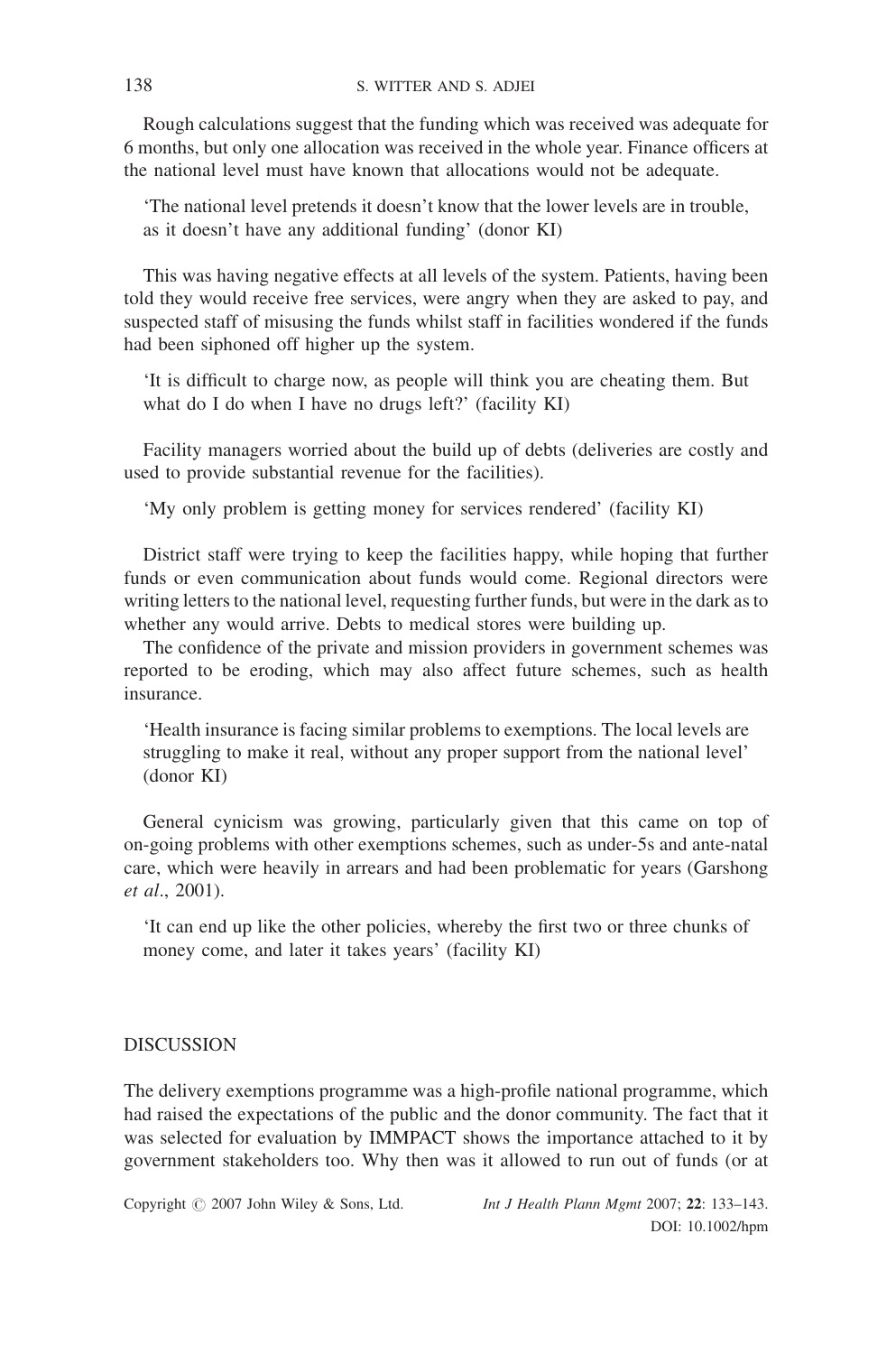Rough calculations suggest that the funding which was received was adequate for 6 months, but only one allocation was received in the whole year. Finance officers at the national level must have known that allocations would not be adequate.

'The national level pretends it doesn't know that the lower levels are in trouble, as it doesn't have any additional funding' (donor KI)

This was having negative effects at all levels of the system. Patients, having been told they would receive free services, were angry when they are asked to pay, and suspected staff of misusing the funds whilst staff in facilities wondered if the funds had been siphoned off higher up the system.

'It is difficult to charge now, as people will think you are cheating them. But what do I do when I have no drugs left?' (facility KI)

Facility managers worried about the build up of debts (deliveries are costly and used to provide substantial revenue for the facilities).

'My only problem is getting money for services rendered' (facility KI)

District staff were trying to keep the facilities happy, while hoping that further funds or even communication about funds would come. Regional directors were writing letters to the national level, requesting further funds, but were in the dark as to whether any would arrive. Debts to medical stores were building up.

The confidence of the private and mission providers in government schemes was reported to be eroding, which may also affect future schemes, such as health insurance.

'Health insurance is facing similar problems to exemptions. The local levels are struggling to make it real, without any proper support from the national level' (donor KI)

General cynicism was growing, particularly given that this came on top of on-going problems with other exemptions schemes, such as under-5s and ante-natal care, which were heavily in arrears and had been problematic for years (Garshong et al., 2001).

'It can end up like the other policies, whereby the first two or three chunks of money come, and later it takes years' (facility KI)

## DISCUSSION

The delivery exemptions programme was a high-profile national programme, which had raised the expectations of the public and the donor community. The fact that it was selected for evaluation by IMMPACT shows the importance attached to it by government stakeholders too. Why then was it allowed to run out of funds (or at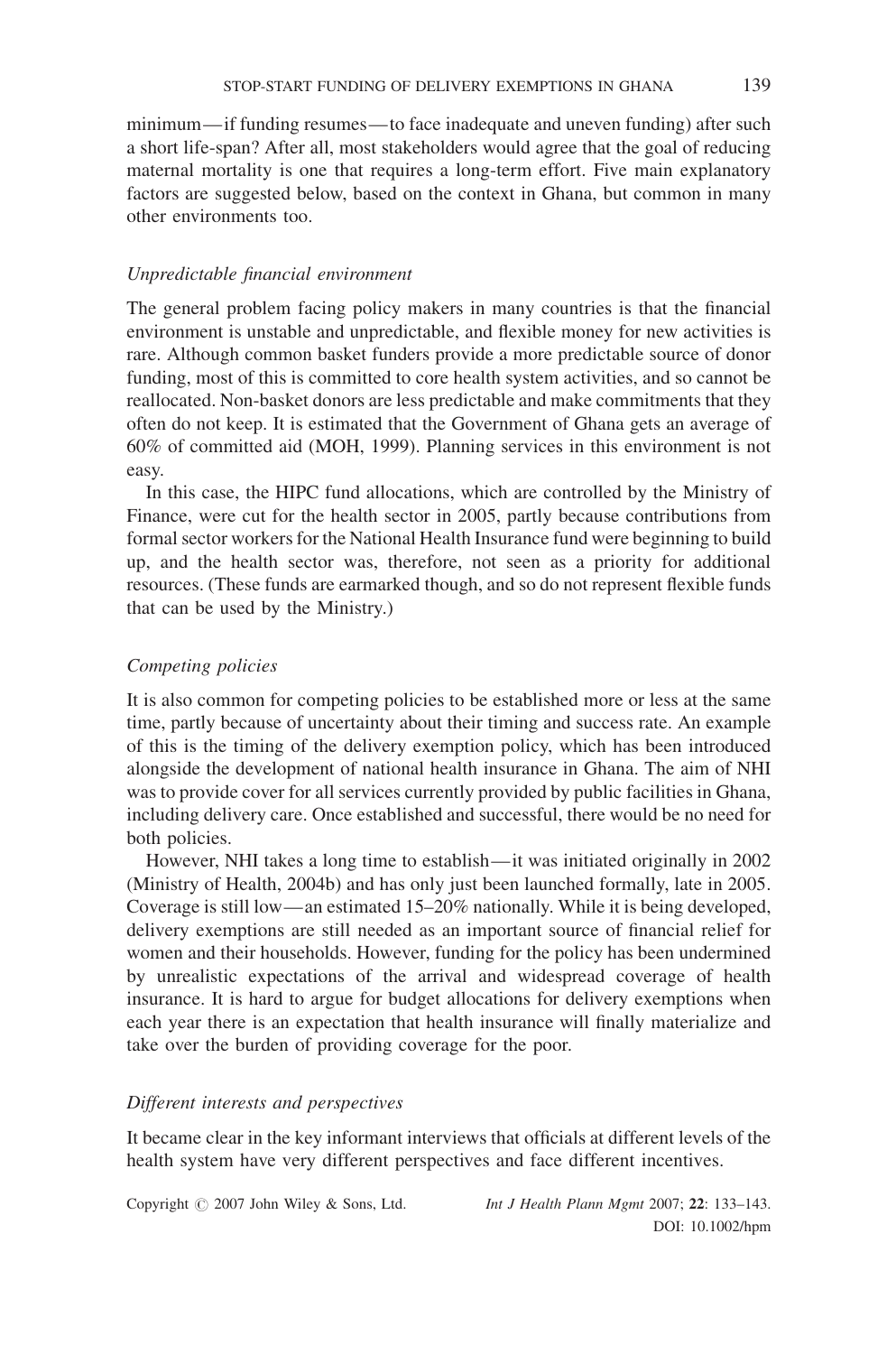minimum—if funding resumes—to face inadequate and uneven funding) after such a short life-span? After all, most stakeholders would agree that the goal of reducing maternal mortality is one that requires a long-term effort. Five main explanatory factors are suggested below, based on the context in Ghana, but common in many other environments too.

#### Unpredictable financial environment

The general problem facing policy makers in many countries is that the financial environment is unstable and unpredictable, and flexible money for new activities is rare. Although common basket funders provide a more predictable source of donor funding, most of this is committed to core health system activities, and so cannot be reallocated. Non-basket donors are less predictable and make commitments that they often do not keep. It is estimated that the Government of Ghana gets an average of 60% of committed aid (MOH, 1999). Planning services in this environment is not easy.

In this case, the HIPC fund allocations, which are controlled by the Ministry of Finance, were cut for the health sector in 2005, partly because contributions from formal sector workers for the National Health Insurance fund were beginning to build up, and the health sector was, therefore, not seen as a priority for additional resources. (These funds are earmarked though, and so do not represent flexible funds that can be used by the Ministry.)

## Competing policies

It is also common for competing policies to be established more or less at the same time, partly because of uncertainty about their timing and success rate. An example of this is the timing of the delivery exemption policy, which has been introduced alongside the development of national health insurance in Ghana. The aim of NHI was to provide cover for all services currently provided by public facilities in Ghana, including delivery care. Once established and successful, there would be no need for both policies.

However, NHI takes a long time to establish—it was initiated originally in 2002 (Ministry of Health, 2004b) and has only just been launched formally, late in 2005. Coverage is still low—an estimated 15–20% nationally. While it is being developed, delivery exemptions are still needed as an important source of financial relief for women and their households. However, funding for the policy has been undermined by unrealistic expectations of the arrival and widespread coverage of health insurance. It is hard to argue for budget allocations for delivery exemptions when each year there is an expectation that health insurance will finally materialize and take over the burden of providing coverage for the poor.

## Different interests and perspectives

It became clear in the key informant interviews that officials at different levels of the health system have very different perspectives and face different incentives.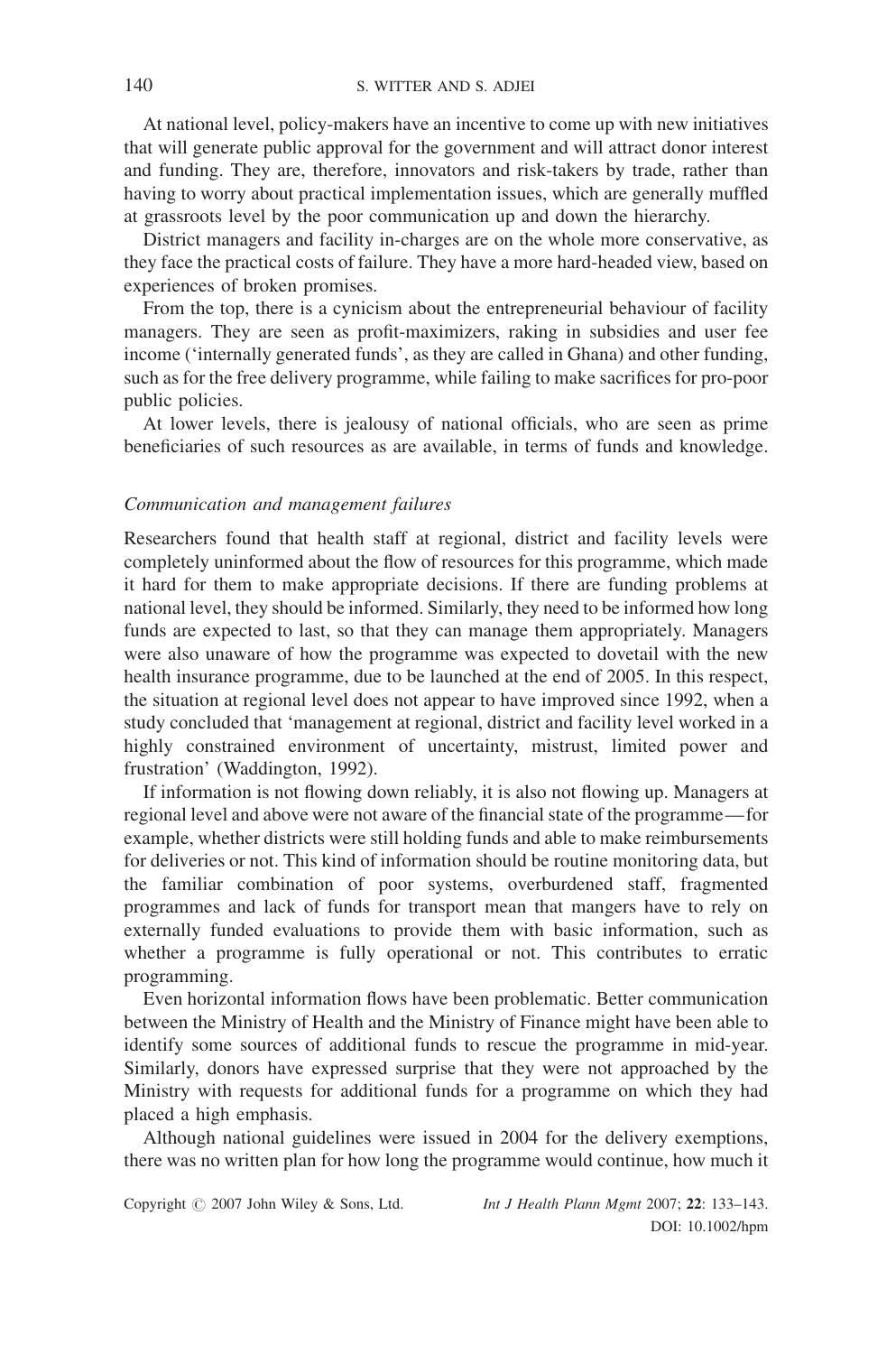At national level, policy-makers have an incentive to come up with new initiatives that will generate public approval for the government and will attract donor interest and funding. They are, therefore, innovators and risk-takers by trade, rather than having to worry about practical implementation issues, which are generally muffled at grassroots level by the poor communication up and down the hierarchy.

District managers and facility in-charges are on the whole more conservative, as they face the practical costs of failure. They have a more hard-headed view, based on experiences of broken promises.

From the top, there is a cynicism about the entrepreneurial behaviour of facility managers. They are seen as profit-maximizers, raking in subsidies and user fee income ('internally generated funds', as they are called in Ghana) and other funding, such as for the free delivery programme, while failing to make sacrifices for pro-poor public policies.

At lower levels, there is jealousy of national officials, who are seen as prime beneficiaries of such resources as are available, in terms of funds and knowledge.

## Communication and management failures

Researchers found that health staff at regional, district and facility levels were completely uninformed about the flow of resources for this programme, which made it hard for them to make appropriate decisions. If there are funding problems at national level, they should be informed. Similarly, they need to be informed how long funds are expected to last, so that they can manage them appropriately. Managers were also unaware of how the programme was expected to dovetail with the new health insurance programme, due to be launched at the end of 2005. In this respect, the situation at regional level does not appear to have improved since 1992, when a study concluded that 'management at regional, district and facility level worked in a highly constrained environment of uncertainty, mistrust, limited power and frustration' (Waddington, 1992).

If information is not flowing down reliably, it is also not flowing up. Managers at regional level and above were not aware of the financial state of the programme— for example, whether districts were still holding funds and able to make reimbursements for deliveries or not. This kind of information should be routine monitoring data, but the familiar combination of poor systems, overburdened staff, fragmented programmes and lack of funds for transport mean that mangers have to rely on externally funded evaluations to provide them with basic information, such as whether a programme is fully operational or not. This contributes to erratic programming.

Even horizontal information flows have been problematic. Better communication between the Ministry of Health and the Ministry of Finance might have been able to identify some sources of additional funds to rescue the programme in mid-year. Similarly, donors have expressed surprise that they were not approached by the Ministry with requests for additional funds for a programme on which they had placed a high emphasis.

Although national guidelines were issued in 2004 for the delivery exemptions, there was no written plan for how long the programme would continue, how much it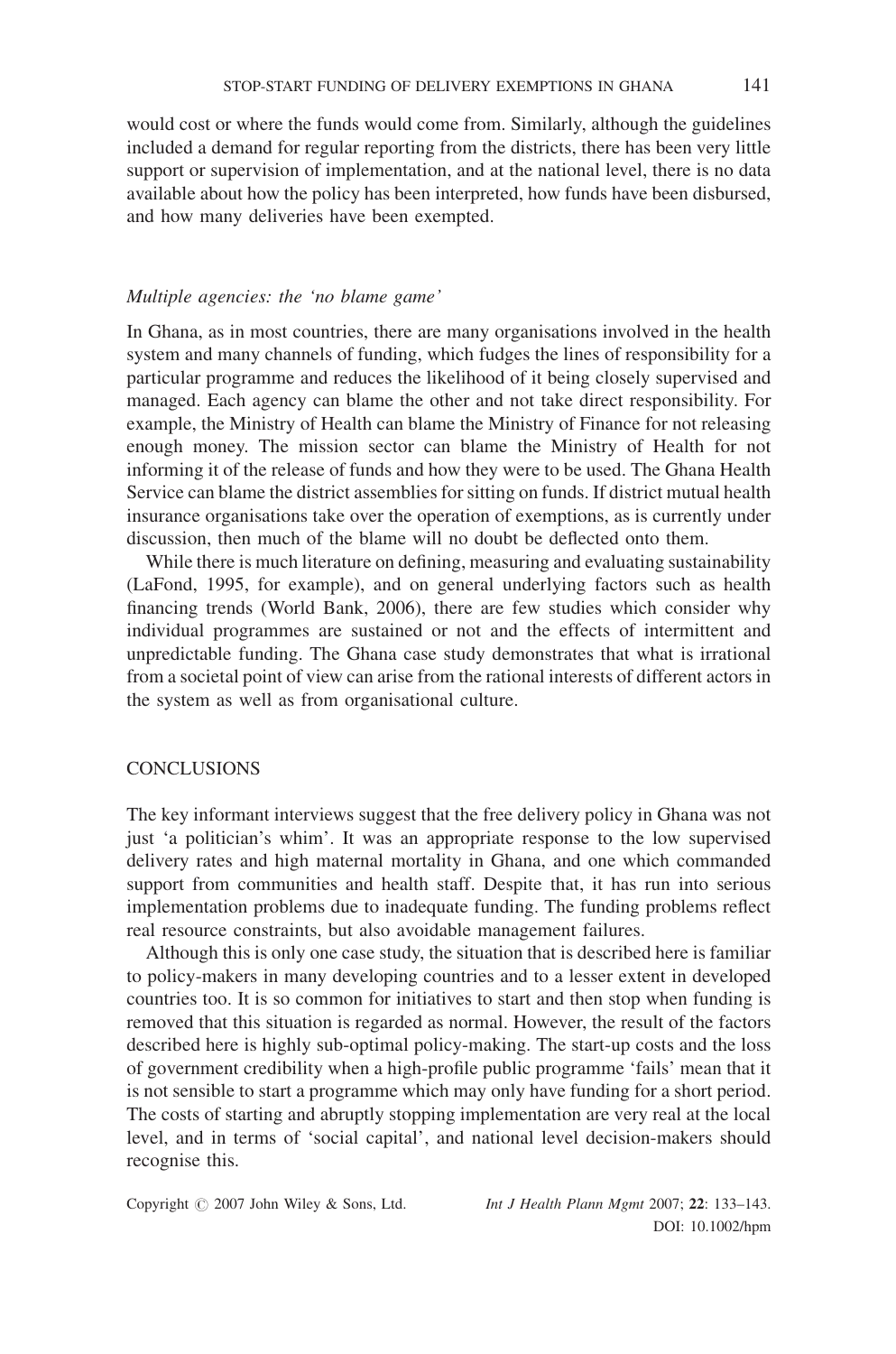would cost or where the funds would come from. Similarly, although the guidelines included a demand for regular reporting from the districts, there has been very little support or supervision of implementation, and at the national level, there is no data available about how the policy has been interpreted, how funds have been disbursed, and how many deliveries have been exempted.

## Multiple agencies: the 'no blame game'

In Ghana, as in most countries, there are many organisations involved in the health system and many channels of funding, which fudges the lines of responsibility for a particular programme and reduces the likelihood of it being closely supervised and managed. Each agency can blame the other and not take direct responsibility. For example, the Ministry of Health can blame the Ministry of Finance for not releasing enough money. The mission sector can blame the Ministry of Health for not informing it of the release of funds and how they were to be used. The Ghana Health Service can blame the district assemblies for sitting on funds. If district mutual health insurance organisations take over the operation of exemptions, as is currently under discussion, then much of the blame will no doubt be deflected onto them.

While there is much literature on defining, measuring and evaluating sustainability (LaFond, 1995, for example), and on general underlying factors such as health financing trends (World Bank, 2006), there are few studies which consider why individual programmes are sustained or not and the effects of intermittent and unpredictable funding. The Ghana case study demonstrates that what is irrational from a societal point of view can arise from the rational interests of different actors in the system as well as from organisational culture.

## **CONCLUSIONS**

The key informant interviews suggest that the free delivery policy in Ghana was not just 'a politician's whim'. It was an appropriate response to the low supervised delivery rates and high maternal mortality in Ghana, and one which commanded support from communities and health staff. Despite that, it has run into serious implementation problems due to inadequate funding. The funding problems reflect real resource constraints, but also avoidable management failures.

Although this is only one case study, the situation that is described here is familiar to policy-makers in many developing countries and to a lesser extent in developed countries too. It is so common for initiatives to start and then stop when funding is removed that this situation is regarded as normal. However, the result of the factors described here is highly sub-optimal policy-making. The start-up costs and the loss of government credibility when a high-profile public programme 'fails' mean that it is not sensible to start a programme which may only have funding for a short period. The costs of starting and abruptly stopping implementation are very real at the local level, and in terms of 'social capital', and national level decision-makers should recognise this.

Copyright  $\odot$  2007 John Wiley & Sons, Ltd. *Int J Health Plann Mgmt* 2007; 22: 133–143. DOI: 10.1002/hpm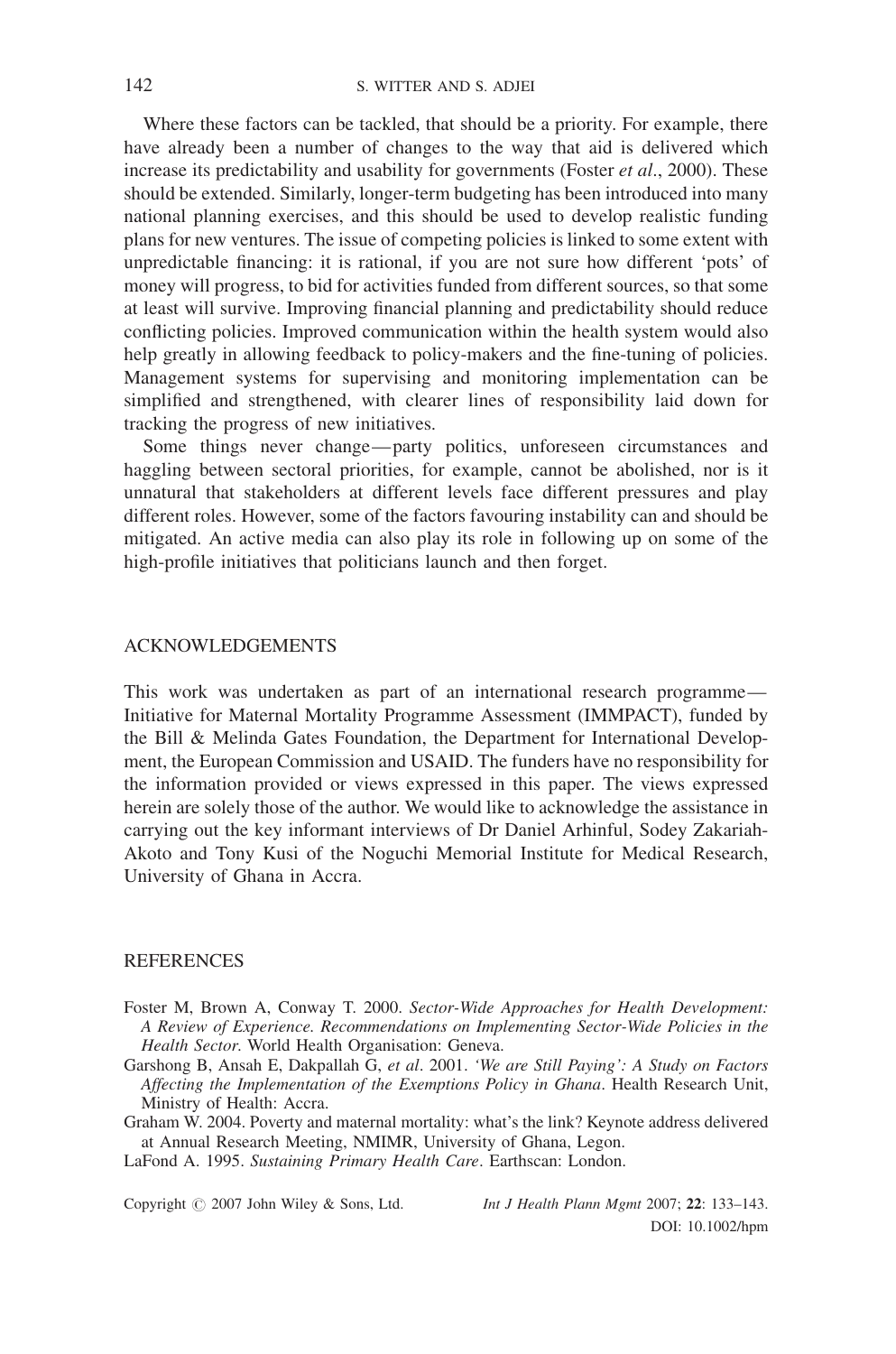Where these factors can be tackled, that should be a priority. For example, there have already been a number of changes to the way that aid is delivered which increase its predictability and usability for governments (Foster *et al.*, 2000). These should be extended. Similarly, longer-term budgeting has been introduced into many national planning exercises, and this should be used to develop realistic funding plans for new ventures. The issue of competing policies is linked to some extent with unpredictable financing: it is rational, if you are not sure how different 'pots' of money will progress, to bid for activities funded from different sources, so that some at least will survive. Improving financial planning and predictability should reduce conflicting policies. Improved communication within the health system would also help greatly in allowing feedback to policy-makers and the fine-tuning of policies. Management systems for supervising and monitoring implementation can be simplified and strengthened, with clearer lines of responsibility laid down for tracking the progress of new initiatives.

Some things never change—party politics, unforeseen circumstances and haggling between sectoral priorities, for example, cannot be abolished, nor is it unnatural that stakeholders at different levels face different pressures and play different roles. However, some of the factors favouring instability can and should be mitigated. An active media can also play its role in following up on some of the high-profile initiatives that politicians launch and then forget.

#### ACKNOWLEDGEMENTS

This work was undertaken as part of an international research programme— Initiative for Maternal Mortality Programme Assessment (IMMPACT), funded by the Bill & Melinda Gates Foundation, the Department for International Development, the European Commission and USAID. The funders have no responsibility for the information provided or views expressed in this paper. The views expressed herein are solely those of the author. We would like to acknowledge the assistance in carrying out the key informant interviews of Dr Daniel Arhinful, Sodey Zakariah-Akoto and Tony Kusi of the Noguchi Memorial Institute for Medical Research, University of Ghana in Accra.

#### REFERENCES

- Foster M, Brown A, Conway T. 2000. Sector-Wide Approaches for Health Development: A Review of Experience. Recommendations on Implementing Sector-Wide Policies in the Health Sector. World Health Organisation: Geneva.
- Garshong B, Ansah E, Dakpallah G, et al. 2001. 'We are Still Paying': A Study on Factors Affecting the Implementation of the Exemptions Policy in Ghana. Health Research Unit, Ministry of Health: Accra.

Graham W. 2004. Poverty and maternal mortality: what's the link? Keynote address delivered at Annual Research Meeting, NMIMR, University of Ghana, Legon.

LaFond A. 1995. Sustaining Primary Health Care. Earthscan: London.

Copyright  $\odot$  2007 John Wiley & Sons, Ltd. Int J Health Plann Mgmt 2007; 22: 133–143. DOI: 10.1002/hpm